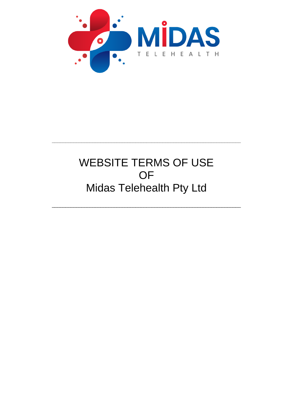

# **WEBSITE TERMS OF USE** OF Midas Telehealth Pty Ltd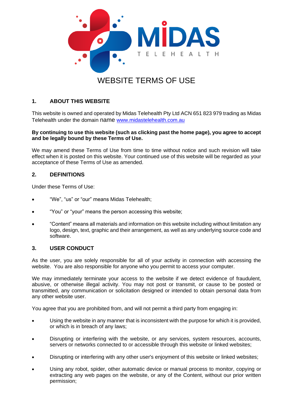

## **1. ABOUT THIS WEBSITE**

This website is owned and operated by Midas Telehealth Pty Ltd ACN 651 823 979 trading as Midas Telehealth under the domain name [www.midastelehealth.com.au](http://www.midastelehealth.com.au/)

#### **By continuing to use this website (such as clicking past the home page), you agree to accept and be legally bound by these Terms of Use.**

We may amend these Terms of Use from time to time without notice and such revision will take effect when it is posted on this website. Your continued use of this website will be regarded as your acceptance of these Terms of Use as amended.

#### **2. DEFINITIONS**

Under these Terms of Use:

- "We", "us" or "our" means Midas Telehealth;
- "You" or "your" means the person accessing this website;
- "Content" means all materials and information on this website including without limitation any logo, design, text, graphic and their arrangement, as well as any underlying source code and software.

#### **3. USER CONDUCT**

As the user, you are solely responsible for all of your activity in connection with accessing the website. You are also responsible for anyone who you permit to access your computer.

We may immediately terminate your access to the website if we detect evidence of fraudulent, abusive, or otherwise illegal activity. You may not post or transmit, or cause to be posted or transmitted, any communication or solicitation designed or intended to obtain personal data from any other website user.

You agree that you are prohibited from, and will not permit a third party from engaging in:

- Using the website in any manner that is inconsistent with the purpose for which it is provided, or which is in breach of any laws;
- Disrupting or interfering with the website, or any services, system resources, accounts, servers or networks connected to or accessible through this website or linked websites;
- Disrupting or interfering with any other user's enjoyment of this website or linked websites;
- Using any robot, spider, other automatic device or manual process to monitor, copying or extracting any web pages on the website, or any of the Content, without our prior written permission;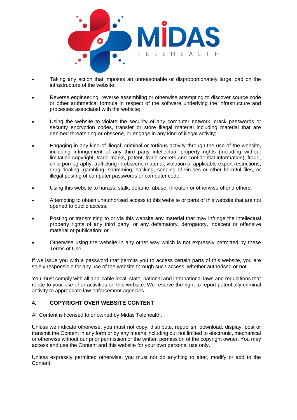

- Taking any action that imposes an unreasonable or disproportionately large load on the infrastructure of the website;
- Reverse engineering, reverse assembling or otherwise attempting to discover source code or other arithmetical formula in respect of the software underlying the infrastructure and processes associated with the website;
- Using the website to violate the security of any computer network, crack passwords or security encryption codes, transfer or store illegal material including material that are deemed threatening or obscene, or engage in any kind of illegal activity;
- Engaging in any kind of illegal, criminal or tortious activity through the use of the website, including infringement of any third party intellectual property rights (including without limitation copyright, trade marks, patent, trade secrets and confidential information), fraud, child pornography, trafficking in obscene material, violation of applicable export restrictions, drug dealing, gambling, spamming, hacking, sending of viruses or other harmful files, or illegal posting of computer passwords or computer code;
- Using this website to harass, stalk, defame, abuse, threaten or otherwise offend others;
- Attempting to obtain unauthorised access to this website or parts of this website that are not opened to public access;
- Posting or transmitting to or via this website any material that may infringe the intellectual property rights of any third party, or any defamatory, derogatory, indecent or offensive material or publication; or
- Otherwise using the website in any other way which is not expressly permitted by these Terms of Use.

If we issue you with a password that permits you to access certain parts of this website, you are solely responsible for any use of the website through such access, whether authorised or not.

You must comply with all applicable local, state, national and international laws and regulations that relate to your use of or activities on this website. We reserve the right to report potentially criminal activity to appropriate law enforcement agencies.

#### **4. COPYRIGHT OVER WEBSITE CONTENT**

All Content is licensed to or owned by Midas Telehealth.

Unless we indicate otherwise, you must not copy, distribute, republish, download, display, post or transmit the Content in any form or by any means including but not limited to electronic, mechanical or otherwise without our prior permission or the written permission of the copyright owner. You may access and use the Content and this website for your own personal use only.

Unless expressly permitted otherwise, you must not do anything to alter, modify or add to the Content.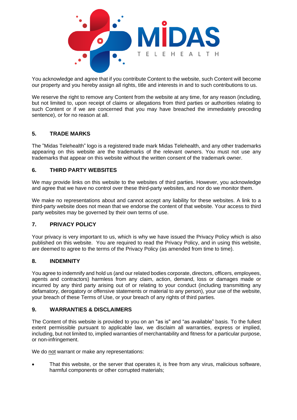

You acknowledge and agree that if you contribute Content to the website, such Content will become our property and you hereby assign all rights, title and interests in and to such contributions to us.

We reserve the right to remove any Content from the website at any time, for any reason (including, but not limited to, upon receipt of claims or allegations from third parties or authorities relating to such Content or if we are concerned that you may have breached the immediately preceding sentence), or for no reason at all.

### **5. TRADE MARKS**

The "Midas Telehealth" logo is a registered trade mark Midas Telehealth, and any other trademarks appearing on this website are the trademarks of the relevant owners. You must not use any trademarks that appear on this website without the written consent of the trademark owner.

### **6. THIRD PARTY WEBSITES**

We may provide links on this website to the websites of third parties. However, you acknowledge and agree that we have no control over these third-party websites, and nor do we monitor them.

We make no representations about and cannot accept any liability for these websites. A link to a third-party website does not mean that we endorse the content of that website. Your access to third party websites may be governed by their own terms of use.

#### **7. PRIVACY POLICY**

Your privacy is very important to us, which is why we have issued the Privacy Policy which is also published on this website. You are required to read the Privacy Policy, and in using this website, are deemed to agree to the terms of the Privacy Policy (as amended from time to time).

#### **8. INDEMNITY**

You agree to indemnify and hold us (and our related bodies corporate, directors, officers, employees, agents and contractors) harmless from any claim, action, demand, loss or damages made or incurred by any third party arising out of or relating to your conduct (including transmitting any defamatory, derogatory or offensive statements or material to any person), your use of the website, your breach of these Terms of Use, or your breach of any rights of third parties.

#### **9. WARRANTIES & DISCLAIMERS**

The Content of this website is provided to you on an "as is" and "as available" basis. To the fullest extent permissible pursuant to applicable law, we disclaim all warranties, express or implied, including, but not limited to, implied warranties of merchantability and fitness for a particular purpose, or non-infringement.

We do not warrant or make any representations:

• That this website, or the server that operates it, is free from any virus, malicious software, harmful components or other corrupted materials;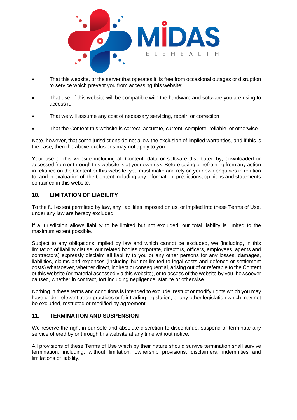

- That this website, or the server that operates it, is free from occasional outages or disruption to service which prevent you from accessing this website;
- That use of this website will be compatible with the hardware and software you are using to access it;
- That we will assume any cost of necessary servicing, repair, or correction;
- That the Content this website is correct, accurate, current, complete, reliable, or otherwise.

Note, however, that some jurisdictions do not allow the exclusion of implied warranties, and if this is the case, then the above exclusions may not apply to you.

Your use of this website including all Content, data or software distributed by, downloaded or accessed from or through this website is at your own risk. Before taking or refraining from any action in reliance on the Content or this website, you must make and rely on your own enquiries in relation to, and in evaluation of, the Content including any information, predictions, opinions and statements contained in this website.

#### **10. LIMITATION OF LIABILITY**

To the full extent permitted by law, any liabilities imposed on us, or implied into these Terms of Use, under any law are hereby excluded.

If a jurisdiction allows liability to be limited but not excluded, our total liability is limited to the maximum extent possible.

Subject to any obligations implied by law and which cannot be excluded, we (including, in this limitation of liability clause, our related bodies corporate, directors, officers, employees, agents and contractors) expressly disclaim all liability to you or any other persons for any losses, damages, liabilities, claims and expenses (including but not limited to legal costs and defence or settlement costs) whatsoever, whether direct, indirect or consequential, arising out of or referable to the Content or this website (or material accessed via this website), or to access of the website by you, howsoever caused, whether in contract, tort including negligence, statute or otherwise.

Nothing in these terms and conditions is intended to exclude, restrict or modify rights which you may have under relevant trade practices or fair trading legislation, or any other legislation which may not be excluded, restricted or modified by agreement.

#### **11. TERMINATION AND SUSPENSION**

We reserve the right in our sole and absolute discretion to discontinue, suspend or terminate any service offered by or through this website at any time without notice.

All provisions of these Terms of Use which by their nature should survive termination shall survive termination, including, without limitation, ownership provisions, disclaimers, indemnities and limitations of liability.